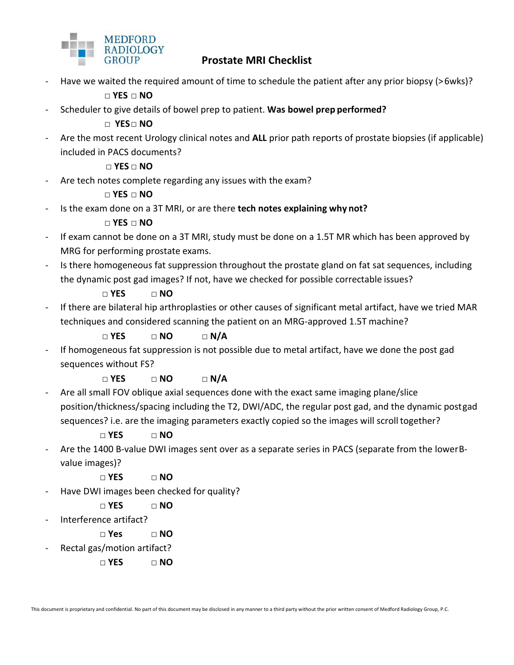

## **Prostate MRI Checklist**

Have we waited the required amount of time to schedule the patient after any prior biopsy (>6wks)?

**□ YES □ NO**

- Scheduler to give details of bowel prep to patient. **Was bowel prep performed?**

**□ YES□ NO**

- Are the most recent Urology clinical notes and **ALL** prior path reports of prostate biopsies (if applicable) included in PACS documents?

**□ YES □ NO**

Are tech notes complete regarding any issues with the exam?

**□ YES □ NO**

- Is the exam done on a 3T MRI, or are there **tech notes explaining why not?**

**□ YES □ NO**

- If exam cannot be done on a 3T MRI, study must be done on a 1.5T MR which has been approved by MRG for performing prostate exams.
- Is there homogeneous fat suppression throughout the prostate gland on fat sat sequences, including the dynamic post gad images? If not, have we checked for possible correctable issues?

**□ YES □ NO**

- If there are bilateral hip arthroplasties or other causes of significant metal artifact, have we tried MAR techniques and considered scanning the patient on an MRG-approved 1.5T machine?

**□ YES □ NO □ N/A**

If homogeneous fat suppression is not possible due to metal artifact, have we done the post gad sequences without FS?

**□ YES □ NO □ N/A**

Are all small FOV oblique axial sequences done with the exact same imaging plane/slice position/thickness/spacing including the T2, DWI/ADC, the regular post gad, and the dynamic postgad sequences? i.e. are the imaging parameters exactly copied so the images will scroll together?

**□ YES □ NO**

- Are the 1400 B-value DWI images sent over as a separate series in PACS (separate from the lowerBvalue images)?

**□ YES □ NO**

Have DWI images been checked for quality?

**□ YES □ NO**

- Interference artifact?
	- **□ Yes □ NO**
- Rectal gas/motion artifact?
	- **□ YES □ NO**